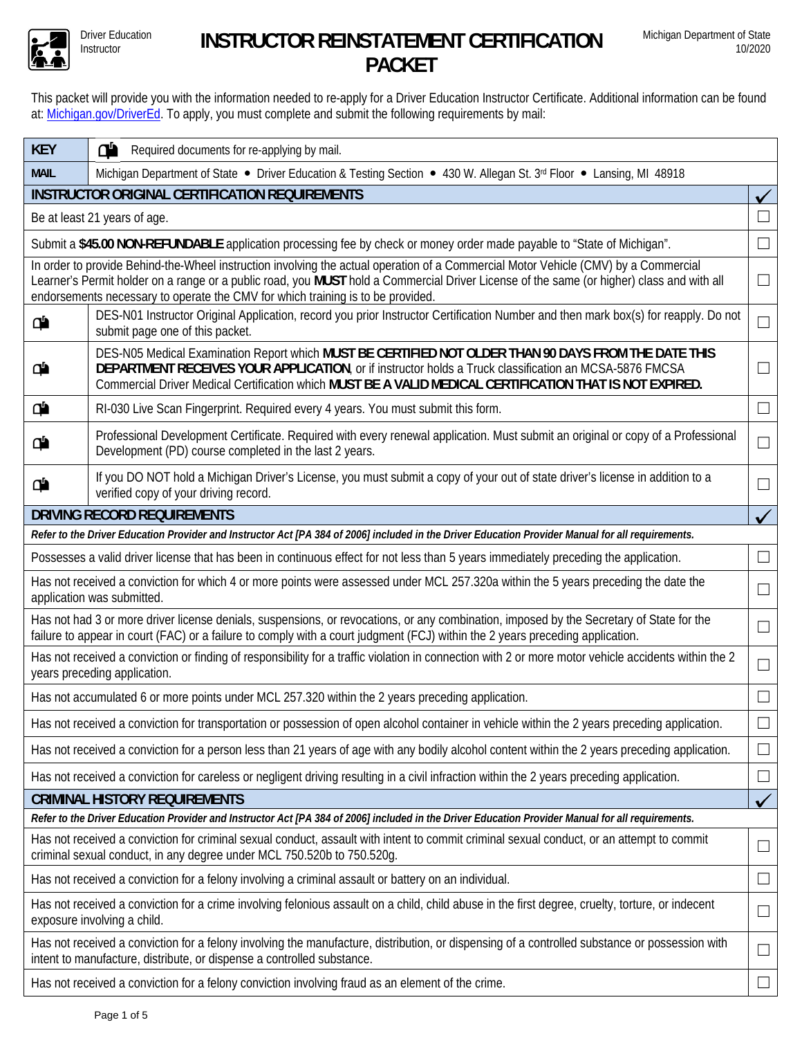

## Driver Education **INSTRUCTOR REINSTATEMENT CERTIFICATION PACKET**

This packet will provide you with the information needed to re-apply for a Driver Education Instructor Certificate. Additional information can be found at: Michigan.gov/DriverEd. To apply, you must complete and submit the following requirements by mail:

| <b>KEY</b>                                                                                                                                                                                                                                                                      | ď<br>Required documents for re-applying by mail.                                                                                                                                                                                                                                                                           |              |  |  |  |  |  |  |  |
|---------------------------------------------------------------------------------------------------------------------------------------------------------------------------------------------------------------------------------------------------------------------------------|----------------------------------------------------------------------------------------------------------------------------------------------------------------------------------------------------------------------------------------------------------------------------------------------------------------------------|--------------|--|--|--|--|--|--|--|
| Michigan Department of State • Driver Education & Testing Section • 430 W. Allegan St. 3rd Floor • Lansing, MI 48918<br><b>MAIL</b>                                                                                                                                             |                                                                                                                                                                                                                                                                                                                            |              |  |  |  |  |  |  |  |
| <b>INSTRUCTOR ORIGINAL CERTIFICATION REQUIREMENTS</b>                                                                                                                                                                                                                           |                                                                                                                                                                                                                                                                                                                            |              |  |  |  |  |  |  |  |
| Be at least 21 years of age.                                                                                                                                                                                                                                                    |                                                                                                                                                                                                                                                                                                                            |              |  |  |  |  |  |  |  |
|                                                                                                                                                                                                                                                                                 |                                                                                                                                                                                                                                                                                                                            |              |  |  |  |  |  |  |  |
| Submit a \$45.00 NON-REFUNDABLE application processing fee by check or money order made payable to "State of Michigan".<br>$\mathcal{L}$<br>In order to provide Behind-the-Wheel instruction involving the actual operation of a Commercial Motor Vehicle (CMV) by a Commercial |                                                                                                                                                                                                                                                                                                                            |              |  |  |  |  |  |  |  |
| Learner's Permit holder on a range or a public road, you MUST hold a Commercial Driver License of the same (or higher) class and with all<br>endorsements necessary to operate the CMV for which training is to be provided                                                     |                                                                                                                                                                                                                                                                                                                            |              |  |  |  |  |  |  |  |
| DES-N01 Instructor Original Application, record you prior Instructor Certification Number and then mark box(s) for reapply. Do not<br>₫۵<br>submit page one of this packet.                                                                                                     |                                                                                                                                                                                                                                                                                                                            |              |  |  |  |  |  |  |  |
| ₾                                                                                                                                                                                                                                                                               | DES-N05 Medical Examination Report which MUST BE CERTIFIED NOT OLDER THAN 90 DAYS FROM THE DATE THIS<br>DEPARTMENT RECEIVES YOUR APPLICATION, or if instructor holds a Truck classification an MCSA-5876 FMCSA<br>Commercial Driver Medical Certification which MUST BE A VALID MEDICAL CERTIFICATION THAT IS NOT EXPIRED. |              |  |  |  |  |  |  |  |
| Φ                                                                                                                                                                                                                                                                               | RI-030 Live Scan Fingerprint. Required every 4 years. You must submit this form.                                                                                                                                                                                                                                           | $\mathbf{I}$ |  |  |  |  |  |  |  |
| Φ                                                                                                                                                                                                                                                                               | Professional Development Certificate. Required with every renewal application. Must submit an original or copy of a Professional<br>Development (PD) course completed in the last 2 years.                                                                                                                                 |              |  |  |  |  |  |  |  |
| Φ                                                                                                                                                                                                                                                                               | If you DO NOT hold a Michigan Driver's License, you must submit a copy of your out of state driver's license in addition to a<br>verified copy of your driving record.                                                                                                                                                     |              |  |  |  |  |  |  |  |
|                                                                                                                                                                                                                                                                                 | <b>DRIVING RECORD REQUIREMENTS</b>                                                                                                                                                                                                                                                                                         |              |  |  |  |  |  |  |  |
| Refer to the Driver Education Provider and Instructor Act [PA 384 of 2006] included in the Driver Education Provider Manual for all requirements.                                                                                                                               |                                                                                                                                                                                                                                                                                                                            |              |  |  |  |  |  |  |  |
| Possesses a valid driver license that has been in continuous effect for not less than 5 years immediately preceding the application.                                                                                                                                            |                                                                                                                                                                                                                                                                                                                            |              |  |  |  |  |  |  |  |
| Has not received a conviction for which 4 or more points were assessed under MCL 257.320a within the 5 years preceding the date the<br>$\mathcal{L}$<br>application was submitted.                                                                                              |                                                                                                                                                                                                                                                                                                                            |              |  |  |  |  |  |  |  |
| Has not had 3 or more driver license denials, suspensions, or revocations, or any combination, imposed by the Secretary of State for the<br>failure to appear in court (FAC) or a failure to comply with a court judgment (FCJ) within the 2 years preceding application.       |                                                                                                                                                                                                                                                                                                                            |              |  |  |  |  |  |  |  |
| Has not received a conviction or finding of responsibility for a traffic violation in connection with 2 or more motor vehicle accidents within the 2<br>$\overline{\phantom{0}}$<br>years preceding application.                                                                |                                                                                                                                                                                                                                                                                                                            |              |  |  |  |  |  |  |  |
| Has not accumulated 6 or more points under MCL 257.320 within the 2 years preceding application.                                                                                                                                                                                |                                                                                                                                                                                                                                                                                                                            |              |  |  |  |  |  |  |  |
| Has not received a conviction for transportation or possession of open alcohol container in vehicle within the 2 years preceding application.                                                                                                                                   |                                                                                                                                                                                                                                                                                                                            |              |  |  |  |  |  |  |  |
| Has not received a conviction for a person less than 21 years of age with any bodily alcohol content within the 2 years preceding application.<br>ப                                                                                                                             |                                                                                                                                                                                                                                                                                                                            |              |  |  |  |  |  |  |  |
| Has not received a conviction for careless or negligent driving resulting in a civil infraction within the 2 years preceding application.                                                                                                                                       |                                                                                                                                                                                                                                                                                                                            |              |  |  |  |  |  |  |  |
| <b>CRIMINAL HISTORY REQUIREMENTS</b><br>✓                                                                                                                                                                                                                                       |                                                                                                                                                                                                                                                                                                                            |              |  |  |  |  |  |  |  |
| Refer to the Driver Education Provider and Instructor Act [PA 384 of 2006] included in the Driver Education Provider Manual for all requirements.                                                                                                                               |                                                                                                                                                                                                                                                                                                                            |              |  |  |  |  |  |  |  |
| Has not received a conviction for criminal sexual conduct, assault with intent to commit criminal sexual conduct, or an attempt to commit<br>$\Box$<br>criminal sexual conduct, in any degree under MCL 750.520b to 750.520g.                                                   |                                                                                                                                                                                                                                                                                                                            |              |  |  |  |  |  |  |  |
| Has not received a conviction for a felony involving a criminal assault or battery on an individual.<br>$\mathsf{L}$                                                                                                                                                            |                                                                                                                                                                                                                                                                                                                            |              |  |  |  |  |  |  |  |
| Has not received a conviction for a crime involving felonious assault on a child, child abuse in the first degree, cruelty, torture, or indecent<br>$\Box$<br>exposure involving a child.                                                                                       |                                                                                                                                                                                                                                                                                                                            |              |  |  |  |  |  |  |  |
| Has not received a conviction for a felony involving the manufacture, distribution, or dispensing of a controlled substance or possession with<br>intent to manufacture, distribute, or dispense a controlled substance.                                                        |                                                                                                                                                                                                                                                                                                                            |              |  |  |  |  |  |  |  |
| Has not received a conviction for a felony conviction involving fraud as an element of the crime.                                                                                                                                                                               |                                                                                                                                                                                                                                                                                                                            |              |  |  |  |  |  |  |  |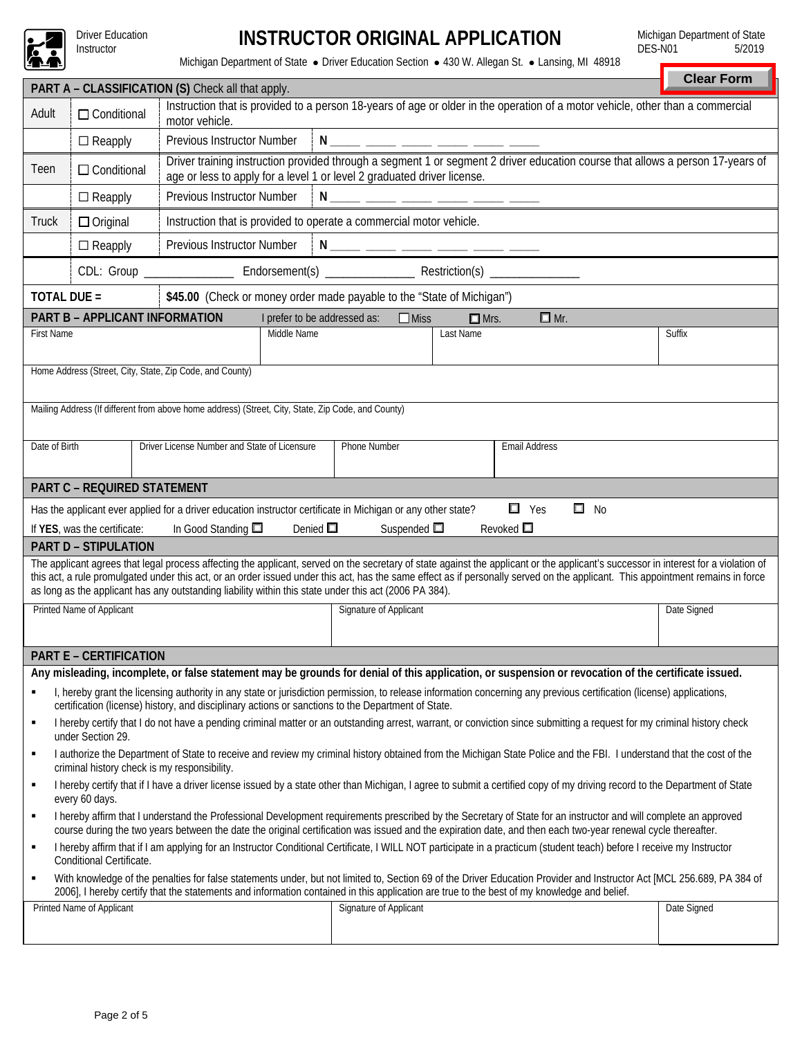

Driver Education<br>Instructor

## Instructor **INSTRUCTOR ORIGINAL APPLICATION**

Michigan Department of State<br>DES-N01 5/2019  $DES-N01$ 

Michigan Department of State · Driver Education Section · 430 W. Allegan St. · Lansing, MI 48918

|                                                                                                                                                                                                                                                                                                                                                                                                                                                                                                                 |                                                                                                                                                                                                                                                                                                                                  |                                                                                                                                                                                                           |                                                                          |              |                     |           |                                                                                                                                                                       |  | <b>Clear Form</b> |  |  |  |
|-----------------------------------------------------------------------------------------------------------------------------------------------------------------------------------------------------------------------------------------------------------------------------------------------------------------------------------------------------------------------------------------------------------------------------------------------------------------------------------------------------------------|----------------------------------------------------------------------------------------------------------------------------------------------------------------------------------------------------------------------------------------------------------------------------------------------------------------------------------|-----------------------------------------------------------------------------------------------------------------------------------------------------------------------------------------------------------|--------------------------------------------------------------------------|--------------|---------------------|-----------|-----------------------------------------------------------------------------------------------------------------------------------------------------------------------|--|-------------------|--|--|--|
| PART A - CLASSIFICATION (S) Check all that apply.<br>Instruction that is provided to a person 18-years of age or older in the operation of a motor vehicle, other than a commercial                                                                                                                                                                                                                                                                                                                             |                                                                                                                                                                                                                                                                                                                                  |                                                                                                                                                                                                           |                                                                          |              |                     |           |                                                                                                                                                                       |  |                   |  |  |  |
| Adult                                                                                                                                                                                                                                                                                                                                                                                                                                                                                                           | $\Box$ Conditional<br>motor vehicle.                                                                                                                                                                                                                                                                                             |                                                                                                                                                                                                           |                                                                          |              |                     |           |                                                                                                                                                                       |  |                   |  |  |  |
|                                                                                                                                                                                                                                                                                                                                                                                                                                                                                                                 | $\Box$ Reapply                                                                                                                                                                                                                                                                                                                   |                                                                                                                                                                                                           | N ____ ____ ___ ____ ____ ____<br>Previous Instructor Number             |              |                     |           |                                                                                                                                                                       |  |                   |  |  |  |
| Teen                                                                                                                                                                                                                                                                                                                                                                                                                                                                                                            | $\Box$ Conditional                                                                                                                                                                                                                                                                                                               | Driver training instruction provided through a segment 1 or segment 2 driver education course that allows a person 17-years of<br>age or less to apply for a level 1 or level 2 graduated driver license. |                                                                          |              |                     |           |                                                                                                                                                                       |  |                   |  |  |  |
|                                                                                                                                                                                                                                                                                                                                                                                                                                                                                                                 | $\Box$ Reapply                                                                                                                                                                                                                                                                                                                   |                                                                                                                                                                                                           | Previous Instructor Number<br>N _____ _____ ___ <u>__ ____ ____ ____</u> |              |                     |           |                                                                                                                                                                       |  |                   |  |  |  |
| Truck                                                                                                                                                                                                                                                                                                                                                                                                                                                                                                           | $\Box$ Original                                                                                                                                                                                                                                                                                                                  |                                                                                                                                                                                                           | Instruction that is provided to operate a commercial motor vehicle.      |              |                     |           |                                                                                                                                                                       |  |                   |  |  |  |
|                                                                                                                                                                                                                                                                                                                                                                                                                                                                                                                 | $\Box$ Reapply                                                                                                                                                                                                                                                                                                                   | Previous Instructor Number<br><u> N ____ ___ ___ ___ ___ ___ ____ ____</u>                                                                                                                                |                                                                          |              |                     |           |                                                                                                                                                                       |  |                   |  |  |  |
|                                                                                                                                                                                                                                                                                                                                                                                                                                                                                                                 |                                                                                                                                                                                                                                                                                                                                  |                                                                                                                                                                                                           |                                                                          |              |                     |           |                                                                                                                                                                       |  |                   |  |  |  |
| <b>TOTAL DUE =</b><br>\$45.00 (Check or money order made payable to the "State of Michigan")                                                                                                                                                                                                                                                                                                                                                                                                                    |                                                                                                                                                                                                                                                                                                                                  |                                                                                                                                                                                                           |                                                                          |              |                     |           |                                                                                                                                                                       |  |                   |  |  |  |
|                                                                                                                                                                                                                                                                                                                                                                                                                                                                                                                 | PART B - APPLICANT INFORMATION<br>I prefer to be addressed as:<br>$\Box$ Mr.<br>$\Box$ Miss<br>$\Box$ Mrs.                                                                                                                                                                                                                       |                                                                                                                                                                                                           |                                                                          |              |                     |           |                                                                                                                                                                       |  |                   |  |  |  |
| <b>First Name</b>                                                                                                                                                                                                                                                                                                                                                                                                                                                                                               |                                                                                                                                                                                                                                                                                                                                  |                                                                                                                                                                                                           | Middle Name                                                              |              |                     | Last Name |                                                                                                                                                                       |  | Suffix            |  |  |  |
|                                                                                                                                                                                                                                                                                                                                                                                                                                                                                                                 |                                                                                                                                                                                                                                                                                                                                  |                                                                                                                                                                                                           |                                                                          |              |                     |           |                                                                                                                                                                       |  |                   |  |  |  |
|                                                                                                                                                                                                                                                                                                                                                                                                                                                                                                                 |                                                                                                                                                                                                                                                                                                                                  | Home Address (Street, City, State, Zip Code, and County)                                                                                                                                                  |                                                                          |              |                     |           |                                                                                                                                                                       |  |                   |  |  |  |
|                                                                                                                                                                                                                                                                                                                                                                                                                                                                                                                 |                                                                                                                                                                                                                                                                                                                                  |                                                                                                                                                                                                           |                                                                          |              |                     |           |                                                                                                                                                                       |  |                   |  |  |  |
|                                                                                                                                                                                                                                                                                                                                                                                                                                                                                                                 |                                                                                                                                                                                                                                                                                                                                  | Mailing Address (If different from above home address) (Street, City, State, Zip Code, and County)                                                                                                        |                                                                          |              |                     |           |                                                                                                                                                                       |  |                   |  |  |  |
| Date of Birth                                                                                                                                                                                                                                                                                                                                                                                                                                                                                                   |                                                                                                                                                                                                                                                                                                                                  | Driver License Number and State of Licensure                                                                                                                                                              |                                                                          | Phone Number |                     |           | <b>Email Address</b>                                                                                                                                                  |  |                   |  |  |  |
|                                                                                                                                                                                                                                                                                                                                                                                                                                                                                                                 |                                                                                                                                                                                                                                                                                                                                  |                                                                                                                                                                                                           |                                                                          |              |                     |           |                                                                                                                                                                       |  |                   |  |  |  |
|                                                                                                                                                                                                                                                                                                                                                                                                                                                                                                                 | <b>PART C - REQUIRED STATEMENT</b>                                                                                                                                                                                                                                                                                               |                                                                                                                                                                                                           |                                                                          |              |                     |           |                                                                                                                                                                       |  |                   |  |  |  |
|                                                                                                                                                                                                                                                                                                                                                                                                                                                                                                                 |                                                                                                                                                                                                                                                                                                                                  | Has the applicant ever applied for a driver education instructor certificate in Michigan or any other state?                                                                                              |                                                                          |              |                     |           | $\Box$ Yes<br>$\square$ No<br>Revoked $\Box$                                                                                                                          |  |                   |  |  |  |
|                                                                                                                                                                                                                                                                                                                                                                                                                                                                                                                 | If YES, was the certificate:                                                                                                                                                                                                                                                                                                     | In Good Standing $\square$                                                                                                                                                                                | Denied $\square$                                                         |              | Suspended $\square$ |           |                                                                                                                                                                       |  |                   |  |  |  |
| <b>PART D - STIPULATION</b><br>The applicant agrees that legal process affecting the applicant, served on the secretary of state against the applicant or the applicant's successor in interest for a violation of<br>this act, a rule promulgated under this act, or an order issued under this act, has the same effect as if personally served on the applicant. This appointment remains in force<br>as long as the applicant has any outstanding liability within this state under this act (2006 PA 384). |                                                                                                                                                                                                                                                                                                                                  |                                                                                                                                                                                                           |                                                                          |              |                     |           |                                                                                                                                                                       |  |                   |  |  |  |
| Printed Name of Applicant<br>Signature of Applicant                                                                                                                                                                                                                                                                                                                                                                                                                                                             |                                                                                                                                                                                                                                                                                                                                  |                                                                                                                                                                                                           |                                                                          |              |                     |           |                                                                                                                                                                       |  | Date Signed       |  |  |  |
|                                                                                                                                                                                                                                                                                                                                                                                                                                                                                                                 |                                                                                                                                                                                                                                                                                                                                  |                                                                                                                                                                                                           |                                                                          |              |                     |           |                                                                                                                                                                       |  |                   |  |  |  |
|                                                                                                                                                                                                                                                                                                                                                                                                                                                                                                                 | <b>PART E - CERTIFICATION</b>                                                                                                                                                                                                                                                                                                    |                                                                                                                                                                                                           |                                                                          |              |                     |           |                                                                                                                                                                       |  |                   |  |  |  |
|                                                                                                                                                                                                                                                                                                                                                                                                                                                                                                                 |                                                                                                                                                                                                                                                                                                                                  |                                                                                                                                                                                                           |                                                                          |              |                     |           | Any misleading, incomplete, or false statement may be grounds for denial of this application, or suspension or revocation of the certificate issued.                  |  |                   |  |  |  |
|                                                                                                                                                                                                                                                                                                                                                                                                                                                                                                                 |                                                                                                                                                                                                                                                                                                                                  | certification (license) history, and disciplinary actions or sanctions to the Department of State.                                                                                                        |                                                                          |              |                     |           | I, hereby grant the licensing authority in any state or jurisdiction permission, to release information concerning any previous certification (license) applications, |  |                   |  |  |  |
| ٠                                                                                                                                                                                                                                                                                                                                                                                                                                                                                                               | I hereby certify that I do not have a pending criminal matter or an outstanding arrest, warrant, or conviction since submitting a request for my criminal history check<br>under Section 29.                                                                                                                                     |                                                                                                                                                                                                           |                                                                          |              |                     |           |                                                                                                                                                                       |  |                   |  |  |  |
| ٠                                                                                                                                                                                                                                                                                                                                                                                                                                                                                                               | I authorize the Department of State to receive and review my criminal history obtained from the Michigan State Police and the FBI. I understand that the cost of the<br>criminal history check is my responsibility.                                                                                                             |                                                                                                                                                                                                           |                                                                          |              |                     |           |                                                                                                                                                                       |  |                   |  |  |  |
| ٠                                                                                                                                                                                                                                                                                                                                                                                                                                                                                                               | I hereby certify that if I have a driver license issued by a state other than Michigan, I agree to submit a certified copy of my driving record to the Department of State<br>every 60 days.                                                                                                                                     |                                                                                                                                                                                                           |                                                                          |              |                     |           |                                                                                                                                                                       |  |                   |  |  |  |
| ٠                                                                                                                                                                                                                                                                                                                                                                                                                                                                                                               | I hereby affirm that I understand the Professional Development requirements prescribed by the Secretary of State for an instructor and will complete an approved<br>course during the two years between the date the original certification was issued and the expiration date, and then each two-year renewal cycle thereafter. |                                                                                                                                                                                                           |                                                                          |              |                     |           |                                                                                                                                                                       |  |                   |  |  |  |
| ٠                                                                                                                                                                                                                                                                                                                                                                                                                                                                                                               | I hereby affirm that if I am applying for an Instructor Conditional Certificate, I WILL NOT participate in a practicum (student teach) before I receive my Instructor<br>Conditional Certificate.                                                                                                                                |                                                                                                                                                                                                           |                                                                          |              |                     |           |                                                                                                                                                                       |  |                   |  |  |  |
| ٠                                                                                                                                                                                                                                                                                                                                                                                                                                                                                                               | With knowledge of the penalties for false statements under, but not limited to, Section 69 of the Driver Education Provider and Instructor Act [MCL 256.689, PA 384 of<br>2006], I hereby certify that the statements and information contained in this application are true to the best of my knowledge and belief.             |                                                                                                                                                                                                           |                                                                          |              |                     |           |                                                                                                                                                                       |  |                   |  |  |  |
|                                                                                                                                                                                                                                                                                                                                                                                                                                                                                                                 | Printed Name of Applicant<br>Signature of Applicant<br>Date Signed                                                                                                                                                                                                                                                               |                                                                                                                                                                                                           |                                                                          |              |                     |           |                                                                                                                                                                       |  |                   |  |  |  |
|                                                                                                                                                                                                                                                                                                                                                                                                                                                                                                                 |                                                                                                                                                                                                                                                                                                                                  |                                                                                                                                                                                                           |                                                                          |              |                     |           |                                                                                                                                                                       |  |                   |  |  |  |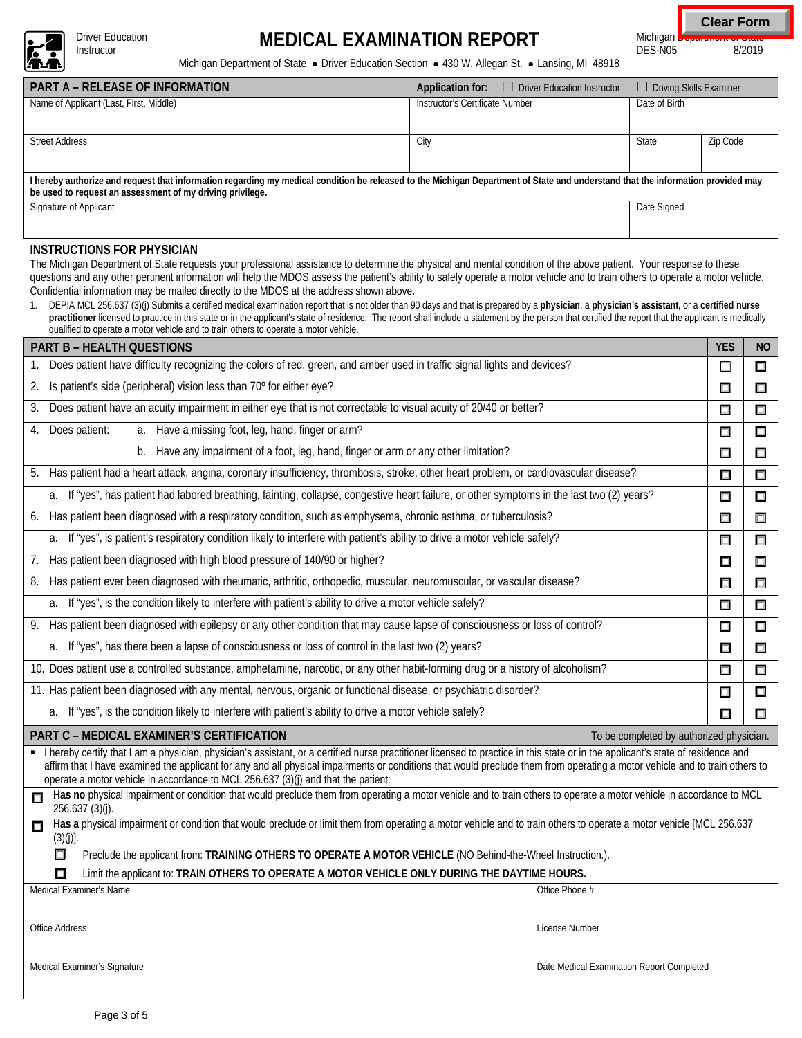

Driver Education<br>Instructor

# Driver Education **MEDICAL EXAMINATION REPORT**

**Clear Form**

Michigan Department of Grate<br>DES-N05 8/2019  $DES-N05$ 

Michigan Department of State · Driver Education Section · 430 W. Allegan St. · Lansing, MI 48918

| <b>PART A – RELEASE OF INFORMATION</b>                                                                                                                                                                                                                                                                                                                                                                                                                                         | Application for:                | $\Box$ Driver Education Instructor | $\Box$ Driving Skills Examiner |          |  |  |  |  |  |
|--------------------------------------------------------------------------------------------------------------------------------------------------------------------------------------------------------------------------------------------------------------------------------------------------------------------------------------------------------------------------------------------------------------------------------------------------------------------------------|---------------------------------|------------------------------------|--------------------------------|----------|--|--|--|--|--|
| Name of Applicant (Last, First, Middle)                                                                                                                                                                                                                                                                                                                                                                                                                                        | Instructor's Certificate Number |                                    | Date of Birth                  |          |  |  |  |  |  |
| <b>Street Address</b>                                                                                                                                                                                                                                                                                                                                                                                                                                                          | City                            |                                    | State                          | Zip Code |  |  |  |  |  |
| I hereby authorize and request that information regarding my medical condition be released to the Michigan Department of State and understand that the information provided may<br>be used to request an assessment of my driving privilege.                                                                                                                                                                                                                                   |                                 |                                    |                                |          |  |  |  |  |  |
| Signature of Applicant                                                                                                                                                                                                                                                                                                                                                                                                                                                         | Date Signed                     |                                    |                                |          |  |  |  |  |  |
| INSTRUCTIONS FOR PHYSICIAN<br>The Michigan Department of State requests your professional assistance to determine the physical and mental condition of the above patient. Your response to these<br>questions and any other pertinent information will help the MDOS assess the patient's ability to safely operate a motor vehicle and to train others to operate a motor vehicle.<br>Confidential information may be mailed directly to the MDOS at the address shown above. |                                 |                                    |                                |          |  |  |  |  |  |

1. DEPIA MCL 256.637 (3)(j) Submits a certified medical examination report that is not older than 90 days and that is prepared by a **physician**, a **physician's assistant,** or a **certified nurse**  practitioner licensed to practice in this state or in the applicant's state of residence. The report shall include a statement by the person that certified the report that the applicant is medically qualified to operate a motor vehicle and to train others to operate a motor vehicle.

| <b>PART B - HEALTH QUESTIONS</b>                                                                                                                                                                                                                                                                                                                                                                                                                     | <b>YES</b> | <b>NO</b> |  |  |  |  |
|------------------------------------------------------------------------------------------------------------------------------------------------------------------------------------------------------------------------------------------------------------------------------------------------------------------------------------------------------------------------------------------------------------------------------------------------------|------------|-----------|--|--|--|--|
| Does patient have difficulty recognizing the colors of red, green, and amber used in traffic signal lights and devices?                                                                                                                                                                                                                                                                                                                              | П          | $\Box$    |  |  |  |  |
| Is patient's side (peripheral) vision less than 70° for either eye?<br>2.                                                                                                                                                                                                                                                                                                                                                                            |            |           |  |  |  |  |
| Does patient have an acuity impairment in either eye that is not correctable to visual acuity of 20/40 or better?<br>3.                                                                                                                                                                                                                                                                                                                              |            |           |  |  |  |  |
| a. Have a missing foot, leg, hand, finger or arm?<br>Does patient:<br>4.                                                                                                                                                                                                                                                                                                                                                                             |            |           |  |  |  |  |
| Have any impairment of a foot, leg, hand, finger or arm or any other limitation?<br>b.                                                                                                                                                                                                                                                                                                                                                               | $\Box$     | $\Box$    |  |  |  |  |
| 5. Has patient had a heart attack, angina, coronary insufficiency, thrombosis, stroke, other heart problem, or cardiovascular disease?                                                                                                                                                                                                                                                                                                               | □          | $\Box$    |  |  |  |  |
| a. If "yes", has patient had labored breathing, fainting, collapse, congestive heart failure, or other symptoms in the last two (2) years?                                                                                                                                                                                                                                                                                                           | ⊡          | $\Box$    |  |  |  |  |
| Has patient been diagnosed with a respiratory condition, such as emphysema, chronic asthma, or tuberculosis?<br>6.                                                                                                                                                                                                                                                                                                                                   | □          | $\Box$    |  |  |  |  |
| If "yes", is patient's respiratory condition likely to interfere with patient's ability to drive a motor vehicle safely?<br>a.                                                                                                                                                                                                                                                                                                                       | □          | $\Box$    |  |  |  |  |
| Has patient been diagnosed with high blood pressure of 140/90 or higher?<br>7.                                                                                                                                                                                                                                                                                                                                                                       | □          | $\Box$    |  |  |  |  |
| Has patient ever been diagnosed with rheumatic, arthritic, orthopedic, muscular, neuromuscular, or vascular disease?<br>8.                                                                                                                                                                                                                                                                                                                           | $\Box$     | $\Box$    |  |  |  |  |
| a. If "yes", is the condition likely to interfere with patient's ability to drive a motor vehicle safely?                                                                                                                                                                                                                                                                                                                                            | $\Box$     | $\Box$    |  |  |  |  |
| 9. Has patient been diagnosed with epilepsy or any other condition that may cause lapse of consciousness or loss of control?                                                                                                                                                                                                                                                                                                                         |            |           |  |  |  |  |
| If "yes", has there been a lapse of consciousness or loss of control in the last two (2) years?<br>a.                                                                                                                                                                                                                                                                                                                                                |            |           |  |  |  |  |
| 10. Does patient use a controlled substance, amphetamine, narcotic, or any other habit-forming drug or a history of alcoholism?                                                                                                                                                                                                                                                                                                                      |            |           |  |  |  |  |
| 11. Has patient been diagnosed with any mental, nervous, organic or functional disease, or psychiatric disorder?                                                                                                                                                                                                                                                                                                                                     |            |           |  |  |  |  |
| If "yes", is the condition likely to interfere with patient's ability to drive a motor vehicle safely?<br>a.                                                                                                                                                                                                                                                                                                                                         |            |           |  |  |  |  |
| PART C - MEDICAL EXAMINER'S CERTIFICATION<br>To be completed by authorized physician.                                                                                                                                                                                                                                                                                                                                                                |            |           |  |  |  |  |
| I hereby certify that I am a physician, physician's assistant, or a certified nurse practitioner licensed to practice in this state or in the applicant's state of residence and<br>affirm that I have examined the applicant for any and all physical impairments or conditions that would preclude them from operating a motor vehicle and to train others to<br>operate a motor vehicle in accordance to MCL 256.637 (3)(j) and that the patient: |            |           |  |  |  |  |
| Has no physical impairment or condition that would preclude them from operating a motor vehicle and to train others to operate a motor vehicle in accordance to MCL<br>П<br>$256.637(3)(j)$ .                                                                                                                                                                                                                                                        |            |           |  |  |  |  |
| Has a physical impairment or condition that would preclude or limit them from operating a motor vehicle and to train others to operate a motor vehicle [MCL 256.637<br>П<br>$(3)(j)$ ].<br>⊓                                                                                                                                                                                                                                                         |            |           |  |  |  |  |
| Preclude the applicant from: TRAINING OTHERS TO OPERATE A MOTOR VEHICLE (NO Behind-the-Wheel Instruction.).<br>Limit the applicant to: TRAIN OTHERS TO OPERATE A MOTOR VEHICLE ONLY DURING THE DAYTIME HOURS.                                                                                                                                                                                                                                        |            |           |  |  |  |  |
| Medical Examiner's Name<br>Office Phone #                                                                                                                                                                                                                                                                                                                                                                                                            |            |           |  |  |  |  |
|                                                                                                                                                                                                                                                                                                                                                                                                                                                      |            |           |  |  |  |  |
| Office Address<br>License Number                                                                                                                                                                                                                                                                                                                                                                                                                     |            |           |  |  |  |  |
|                                                                                                                                                                                                                                                                                                                                                                                                                                                      |            |           |  |  |  |  |
| Date Medical Examination Report Completed<br>Medical Examiner's Signature                                                                                                                                                                                                                                                                                                                                                                            |            |           |  |  |  |  |
|                                                                                                                                                                                                                                                                                                                                                                                                                                                      |            |           |  |  |  |  |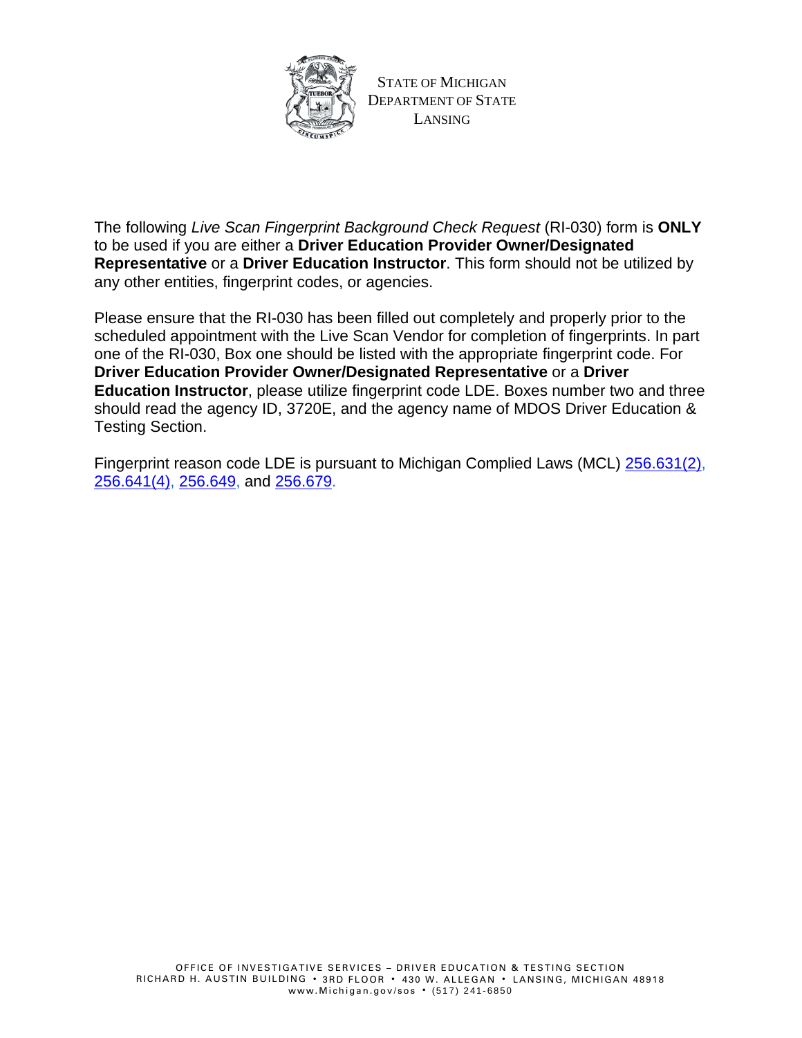

STATE OF MICHIGAN DEPARTMENT OF STATE LANSING

The following *Live Scan Fingerprint Background Check Request* (RI-030) form is **ONLY** to be used if you are either a **Driver Education Provider Owner/Designated Representative** or a **Driver Education Instructor**. This form should not be utilized by any other entities, fingerprint codes, or agencies.

Please ensure that the RI-030 has been filled out completely and properly prior to the scheduled appointment with the Live Scan Vendor for completion of fingerprints. In part one of the RI-030, Box one should be listed with the appropriate fingerprint code. For **Driver Education Provider Owner/Designated Representative** or a **Driver Education Instructor**, please utilize fingerprint code LDE. Boxes number two and three should read the agency ID, 3720E, and the agency name of MDOS Driver Education & Testing Section.

Fingerprint reason code LDE is pursuant to Michigan Complied Laws (MCL) [256.631\(2\),](http://www.legislature.mi.gov/(S(4ga4u4cbylgkour1fkhmqen2))/mileg.aspx?page=getObject&objectName=mcl-256-631) [256.641\(4\),](http://www.legislature.mi.gov/(S(aptakef1qnnrxa34ymemo0pe))/mileg.aspx?page=getObject&objectName=mcl-256-641) [256.649,](http://www.legislature.mi.gov/(S(3qf01njfr5bjkhr3xnsxgnsf))/mileg.aspx?page=getObject&objectName=mcl-256-649) and [256.679.](http://www.legislature.mi.gov/(S(v3xyfcdwditrkasuinpqztcq))/mileg.aspx?page=getObject&objectName=mcl-256-679)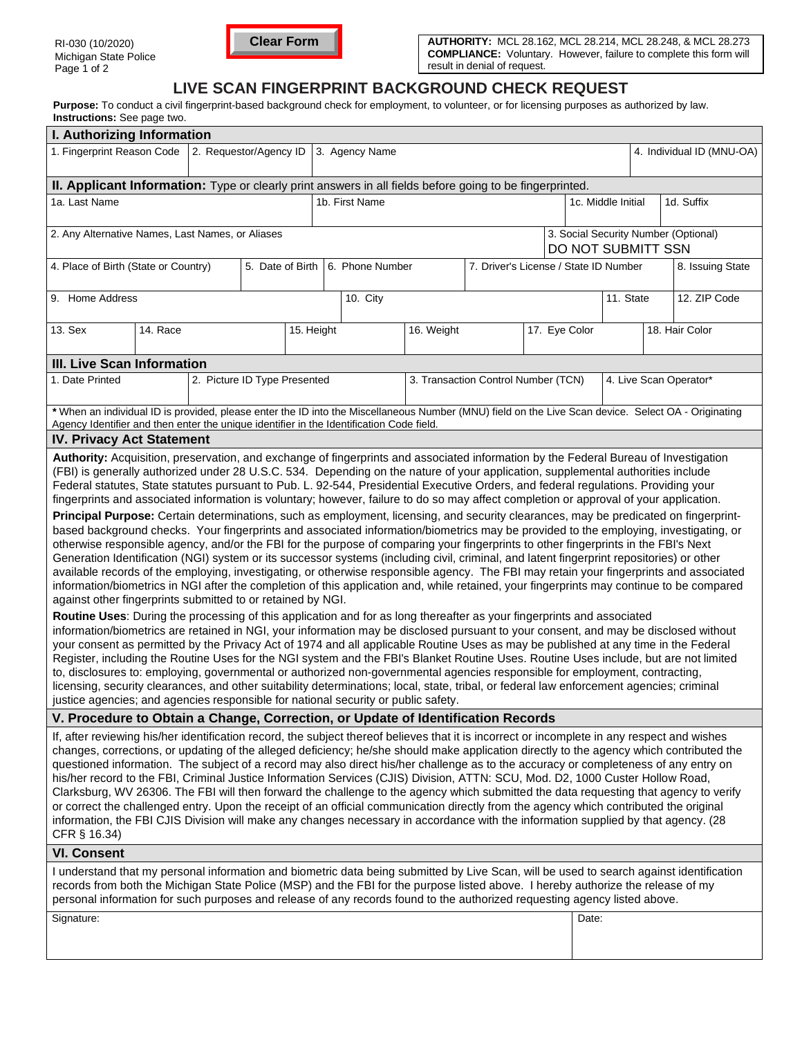

**AUTHORITY:** MCL 28.162, MCL 28.214, MCL 28.248, & MCL 28.273 **COMPLIANCE:** Voluntary. However, failure to complete this form will result in denial of request.

### **LIVE SCAN FINGERPRINT BACKGROUND CHECK REQUEST**

Purpose: To conduct a civil fingerprint-based background check for employment, to volunteer, or for licensing purposes as authorized by law. **Instructions:** See page two.

| I. Authorizing Information                                                                                                                                                                                                                                                                                                                                                                                                                                                                                                                                                                                                                                                                                                                                                                                                                                                                                                                                                                                                                                                                                                                                                                                                                                                                                                                                                                                                                                                                                                                                                                                                                                                                                                                                                                                                                                                                                                                                                                                                                                                                                                                                                                                                                                                                                                                                                                                |                              |  |            |                                                                             |                |            |                                     |               |       |                                  |              |                           |  |
|-----------------------------------------------------------------------------------------------------------------------------------------------------------------------------------------------------------------------------------------------------------------------------------------------------------------------------------------------------------------------------------------------------------------------------------------------------------------------------------------------------------------------------------------------------------------------------------------------------------------------------------------------------------------------------------------------------------------------------------------------------------------------------------------------------------------------------------------------------------------------------------------------------------------------------------------------------------------------------------------------------------------------------------------------------------------------------------------------------------------------------------------------------------------------------------------------------------------------------------------------------------------------------------------------------------------------------------------------------------------------------------------------------------------------------------------------------------------------------------------------------------------------------------------------------------------------------------------------------------------------------------------------------------------------------------------------------------------------------------------------------------------------------------------------------------------------------------------------------------------------------------------------------------------------------------------------------------------------------------------------------------------------------------------------------------------------------------------------------------------------------------------------------------------------------------------------------------------------------------------------------------------------------------------------------------------------------------------------------------------------------------------------------------|------------------------------|--|------------|-----------------------------------------------------------------------------|----------------|------------|-------------------------------------|---------------|-------|----------------------------------|--------------|---------------------------|--|
| 1. Fingerprint Reason Code                                                                                                                                                                                                                                                                                                                                                                                                                                                                                                                                                                                                                                                                                                                                                                                                                                                                                                                                                                                                                                                                                                                                                                                                                                                                                                                                                                                                                                                                                                                                                                                                                                                                                                                                                                                                                                                                                                                                                                                                                                                                                                                                                                                                                                                                                                                                                                                | 2. Requestor/Agency ID       |  |            |                                                                             | 3. Agency Name |            |                                     |               |       |                                  |              | 4. Individual ID (MNU-OA) |  |
| II. Applicant Information: Type or clearly print answers in all fields before going to be fingerprinted.                                                                                                                                                                                                                                                                                                                                                                                                                                                                                                                                                                                                                                                                                                                                                                                                                                                                                                                                                                                                                                                                                                                                                                                                                                                                                                                                                                                                                                                                                                                                                                                                                                                                                                                                                                                                                                                                                                                                                                                                                                                                                                                                                                                                                                                                                                  |                              |  |            |                                                                             |                |            |                                     |               |       |                                  |              |                           |  |
| 1a. Last Name                                                                                                                                                                                                                                                                                                                                                                                                                                                                                                                                                                                                                                                                                                                                                                                                                                                                                                                                                                                                                                                                                                                                                                                                                                                                                                                                                                                                                                                                                                                                                                                                                                                                                                                                                                                                                                                                                                                                                                                                                                                                                                                                                                                                                                                                                                                                                                                             |                              |  |            |                                                                             | 1b. First Name |            |                                     |               |       | 1d. Suffix<br>1c. Middle Initial |              |                           |  |
| 3. Social Security Number (Optional)<br>2. Any Alternative Names, Last Names, or Aliases<br>DO NOT SUBMITT SSN                                                                                                                                                                                                                                                                                                                                                                                                                                                                                                                                                                                                                                                                                                                                                                                                                                                                                                                                                                                                                                                                                                                                                                                                                                                                                                                                                                                                                                                                                                                                                                                                                                                                                                                                                                                                                                                                                                                                                                                                                                                                                                                                                                                                                                                                                            |                              |  |            |                                                                             |                |            |                                     |               |       |                                  |              |                           |  |
| 4. Place of Birth (State or Country)                                                                                                                                                                                                                                                                                                                                                                                                                                                                                                                                                                                                                                                                                                                                                                                                                                                                                                                                                                                                                                                                                                                                                                                                                                                                                                                                                                                                                                                                                                                                                                                                                                                                                                                                                                                                                                                                                                                                                                                                                                                                                                                                                                                                                                                                                                                                                                      |                              |  |            | 5. Date of Birth   6. Phone Number<br>7. Driver's License / State ID Number |                |            |                                     |               |       |                                  |              | 8. Issuing State          |  |
| 9. Home Address                                                                                                                                                                                                                                                                                                                                                                                                                                                                                                                                                                                                                                                                                                                                                                                                                                                                                                                                                                                                                                                                                                                                                                                                                                                                                                                                                                                                                                                                                                                                                                                                                                                                                                                                                                                                                                                                                                                                                                                                                                                                                                                                                                                                                                                                                                                                                                                           |                              |  |            | 10. City                                                                    |                |            |                                     |               |       | 11. State                        | 12. ZIP Code |                           |  |
| 13. Sex<br>14. Race                                                                                                                                                                                                                                                                                                                                                                                                                                                                                                                                                                                                                                                                                                                                                                                                                                                                                                                                                                                                                                                                                                                                                                                                                                                                                                                                                                                                                                                                                                                                                                                                                                                                                                                                                                                                                                                                                                                                                                                                                                                                                                                                                                                                                                                                                                                                                                                       |                              |  | 15. Height |                                                                             |                | 16. Weight |                                     | 17. Eye Color |       | 18. Hair Color                   |              |                           |  |
| <b>III. Live Scan Information</b>                                                                                                                                                                                                                                                                                                                                                                                                                                                                                                                                                                                                                                                                                                                                                                                                                                                                                                                                                                                                                                                                                                                                                                                                                                                                                                                                                                                                                                                                                                                                                                                                                                                                                                                                                                                                                                                                                                                                                                                                                                                                                                                                                                                                                                                                                                                                                                         |                              |  |            |                                                                             |                |            |                                     |               |       |                                  |              |                           |  |
| 1. Date Printed                                                                                                                                                                                                                                                                                                                                                                                                                                                                                                                                                                                                                                                                                                                                                                                                                                                                                                                                                                                                                                                                                                                                                                                                                                                                                                                                                                                                                                                                                                                                                                                                                                                                                                                                                                                                                                                                                                                                                                                                                                                                                                                                                                                                                                                                                                                                                                                           | 2. Picture ID Type Presented |  |            |                                                                             |                |            | 3. Transaction Control Number (TCN) |               |       |                                  |              | 4. Live Scan Operator*    |  |
| * When an individual ID is provided, please enter the ID into the Miscellaneous Number (MNU) field on the Live Scan device. Select OA - Originating<br>Agency Identifier and then enter the unique identifier in the Identification Code field.                                                                                                                                                                                                                                                                                                                                                                                                                                                                                                                                                                                                                                                                                                                                                                                                                                                                                                                                                                                                                                                                                                                                                                                                                                                                                                                                                                                                                                                                                                                                                                                                                                                                                                                                                                                                                                                                                                                                                                                                                                                                                                                                                           |                              |  |            |                                                                             |                |            |                                     |               |       |                                  |              |                           |  |
| <b>IV. Privacy Act Statement</b>                                                                                                                                                                                                                                                                                                                                                                                                                                                                                                                                                                                                                                                                                                                                                                                                                                                                                                                                                                                                                                                                                                                                                                                                                                                                                                                                                                                                                                                                                                                                                                                                                                                                                                                                                                                                                                                                                                                                                                                                                                                                                                                                                                                                                                                                                                                                                                          |                              |  |            |                                                                             |                |            |                                     |               |       |                                  |              |                           |  |
| Authority: Acquisition, preservation, and exchange of fingerprints and associated information by the Federal Bureau of Investigation<br>(FBI) is generally authorized under 28 U.S.C. 534. Depending on the nature of your application, supplemental authorities include<br>Federal statutes, State statutes pursuant to Pub. L. 92-544, Presidential Executive Orders, and federal regulations. Providing your<br>fingerprints and associated information is voluntary; however, failure to do so may affect completion or approval of your application.<br>Principal Purpose: Certain determinations, such as employment, licensing, and security clearances, may be predicated on fingerprint-<br>based background checks. Your fingerprints and associated information/biometrics may be provided to the employing, investigating, or<br>otherwise responsible agency, and/or the FBI for the purpose of comparing your fingerprints to other fingerprints in the FBI's Next<br>Generation Identification (NGI) system or its successor systems (including civil, criminal, and latent fingerprint repositories) or other<br>available records of the employing, investigating, or otherwise responsible agency. The FBI may retain your fingerprints and associated<br>information/biometrics in NGI after the completion of this application and, while retained, your fingerprints may continue to be compared<br>against other fingerprints submitted to or retained by NGI.<br>Routine Uses: During the processing of this application and for as long thereafter as your fingerprints and associated<br>information/biometrics are retained in NGI, your information may be disclosed pursuant to your consent, and may be disclosed without<br>your consent as permitted by the Privacy Act of 1974 and all applicable Routine Uses as may be published at any time in the Federal<br>Register, including the Routine Uses for the NGI system and the FBI's Blanket Routine Uses. Routine Uses include, but are not limited<br>to, disclosures to: employing, governmental or authorized non-governmental agencies responsible for employment, contracting,<br>licensing, security clearances, and other suitability determinations; local, state, tribal, or federal law enforcement agencies; criminal<br>justice agencies; and agencies responsible for national security or public safety. |                              |  |            |                                                                             |                |            |                                     |               |       |                                  |              |                           |  |
| V. Procedure to Obtain a Change, Correction, or Update of Identification Records                                                                                                                                                                                                                                                                                                                                                                                                                                                                                                                                                                                                                                                                                                                                                                                                                                                                                                                                                                                                                                                                                                                                                                                                                                                                                                                                                                                                                                                                                                                                                                                                                                                                                                                                                                                                                                                                                                                                                                                                                                                                                                                                                                                                                                                                                                                          |                              |  |            |                                                                             |                |            |                                     |               |       |                                  |              |                           |  |
| If, after reviewing his/her identification record, the subject thereof believes that it is incorrect or incomplete in any respect and wishes<br>changes, corrections, or updating of the alleged deficiency; he/she should make application directly to the agency which contributed the<br>questioned information. The subject of a record may also direct his/her challenge as to the accuracy or completeness of any entry on<br>his/her record to the FBI, Criminal Justice Information Services (CJIS) Division, ATTN: SCU, Mod. D2, 1000 Custer Hollow Road,<br>Clarksburg, WV 26306. The FBI will then forward the challenge to the agency which submitted the data requesting that agency to verify<br>or correct the challenged entry. Upon the receipt of an official communication directly from the agency which contributed the original<br>information, the FBI CJIS Division will make any changes necessary in accordance with the information supplied by that agency. (28<br>CFR § 16.34)                                                                                                                                                                                                                                                                                                                                                                                                                                                                                                                                                                                                                                                                                                                                                                                                                                                                                                                                                                                                                                                                                                                                                                                                                                                                                                                                                                                               |                              |  |            |                                                                             |                |            |                                     |               |       |                                  |              |                           |  |
| <b>VI. Consent</b>                                                                                                                                                                                                                                                                                                                                                                                                                                                                                                                                                                                                                                                                                                                                                                                                                                                                                                                                                                                                                                                                                                                                                                                                                                                                                                                                                                                                                                                                                                                                                                                                                                                                                                                                                                                                                                                                                                                                                                                                                                                                                                                                                                                                                                                                                                                                                                                        |                              |  |            |                                                                             |                |            |                                     |               |       |                                  |              |                           |  |
| I understand that my personal information and biometric data being submitted by Live Scan, will be used to search against identification<br>records from both the Michigan State Police (MSP) and the FBI for the purpose listed above. I hereby authorize the release of my<br>personal information for such purposes and release of any records found to the authorized requesting agency listed above.                                                                                                                                                                                                                                                                                                                                                                                                                                                                                                                                                                                                                                                                                                                                                                                                                                                                                                                                                                                                                                                                                                                                                                                                                                                                                                                                                                                                                                                                                                                                                                                                                                                                                                                                                                                                                                                                                                                                                                                                 |                              |  |            |                                                                             |                |            |                                     |               |       |                                  |              |                           |  |
| Signature:                                                                                                                                                                                                                                                                                                                                                                                                                                                                                                                                                                                                                                                                                                                                                                                                                                                                                                                                                                                                                                                                                                                                                                                                                                                                                                                                                                                                                                                                                                                                                                                                                                                                                                                                                                                                                                                                                                                                                                                                                                                                                                                                                                                                                                                                                                                                                                                                |                              |  |            |                                                                             |                |            |                                     |               | Date: |                                  |              |                           |  |